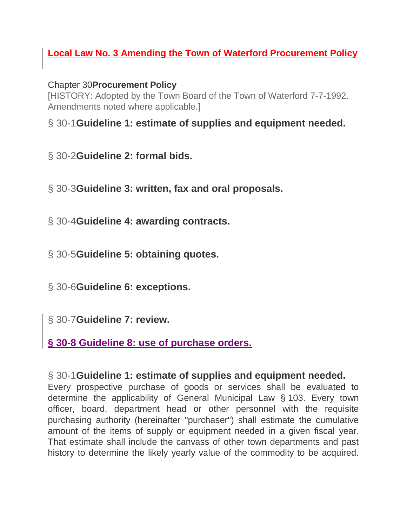## **Local Law No. 3 Amending the Town of Waterford Procurement Policy**

Chapter 30**[Procurement Policy](https://ecode360.com/13677656)**

[HISTORY: Adopted by the Town Board of the Town of Waterford 7-7-1992. Amendments noted where applicable.]

§ 30-1**[Guideline 1: estimate of supplies and equipment needed.](https://ecode360.com/13677656#13677657)**

- § 30-2**[Guideline 2: formal bids.](https://ecode360.com/13677656#13677658)**
- § 30-3**[Guideline 3: written, fax and oral proposals.](https://ecode360.com/13677656#13677659)**
- § 30-4**[Guideline 4: awarding contracts.](https://ecode360.com/13677656#13677670)**
- § 30-5**[Guideline 5: obtaining quotes.](https://ecode360.com/13677656#13677671)**
- § 30-6**[Guideline 6: exceptions.](https://ecode360.com/13677656#13677672)**
- § 30-7**[Guideline 7: review.](https://ecode360.com/13677656#13677682)**

**§ 30-8 Guideline 8: use of purchase orders.**

### § 30-1**[Guideline 1: estimate of supplies and equipment needed.](https://ecode360.com/13677656#13677657)**

Every prospective purchase of goods or services shall be evaluated to determine the applicability of General Municipal Law § 103. Every town officer, board, department head or other personnel with the requisite purchasing authority (hereinafter "purchaser") shall estimate the cumulative amount of the items of supply or equipment needed in a given fiscal year. That estimate shall include the canvass of other town departments and past history to determine the likely yearly value of the commodity to be acquired.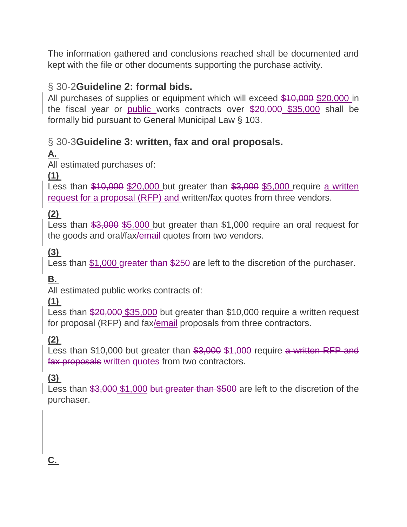The information gathered and conclusions reached shall be documented and kept with the file or other documents supporting the purchase activity.

## § 30-2**[Guideline 2: formal bids.](https://ecode360.com/13677656#13677658)**

All purchases of supplies or equipment which will exceed \$10,000 \$20,000 in the fiscal year or public works contracts over \$20,000 \$35,000 shall be formally bid pursuant to General Municipal Law § 103.

## § 30-3**[Guideline 3: written, fax and oral proposals.](https://ecode360.com/13677656#13677659)**

# **[A.](https://ecode360.com/13677660#13677660)**

All estimated purchases of:

## **[\(1\)](https://ecode360.com/13677661#13677661)**

Less than  $$10,000$  \$20,000 but greater than  $$3,000$  \$5,000 require a written request for a proposal (RFP) and written/fax quotes from three vendors.

## **[\(2\)](https://ecode360.com/13677662#13677662)**

Less than \$3,000 \$5,000 but greater than \$1,000 require an oral request for the goods and oral/fax/email quotes from two vendors.

## **[\(3\)](https://ecode360.com/13677663#13677663)**

Less than \$1,000 greater than \$250 are left to the discretion of the purchaser.

## **[B.](https://ecode360.com/13677664#13677664)**

All estimated public works contracts of:

### **[\(1\)](https://ecode360.com/13677665#13677665)**

Less than \$20,000 \$35,000 but greater than \$10,000 require a written request for proposal (RFP) and fax/email proposals from three contractors.

## **[\(2\)](https://ecode360.com/13677666#13677666)**

Less than \$10,000 but greater than  $$3,000$  \$1,000 require a written RFP and fax proposals written quotes from two contractors.

### **[\(3\)](https://ecode360.com/13677667#13677667)**

Less than \$3,000 \$1,000 but greater than \$500 are left to the discretion of the purchaser.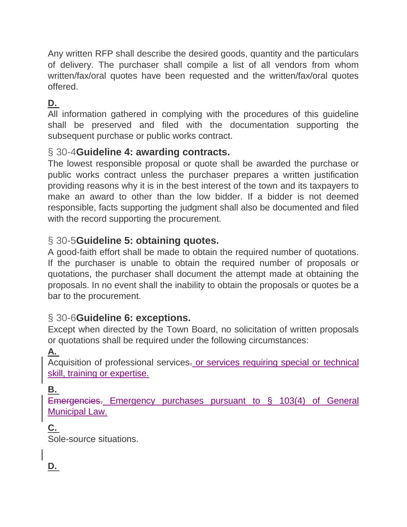Any written RFP shall describe the desired goods, quantity and the particulars of delivery. The purchaser shall compile a list of all vendors from whom written/fax/oral quotes have been requested and the written/fax/oral quotes offered.

## **[D.](https://ecode360.com/13677669#13677669)**

All information gathered in complying with the procedures of this guideline shall be preserved and filed with the documentation supporting the subsequent purchase or public works contract.

### § 30-4**[Guideline 4: awarding contracts.](https://ecode360.com/13677656#13677670)**

The lowest responsible proposal or quote shall be awarded the purchase or public works contract unless the purchaser prepares a written justification providing reasons why it is in the best interest of the town and its taxpayers to make an award to other than the low bidder. If a bidder is not deemed responsible, facts supporting the judgment shall also be documented and filed with the record supporting the procurement.

### § 30-5**[Guideline 5: obtaining quotes.](https://ecode360.com/13677656#13677671)**

A good-faith effort shall be made to obtain the required number of quotations. If the purchaser is unable to obtain the required number of proposals or quotations, the purchaser shall document the attempt made at obtaining the proposals. In no event shall the inability to obtain the proposals or quotes be a bar to the procurement.

### § 30-6**[Guideline 6: exceptions.](https://ecode360.com/13677656#13677672)**

Except when directed by the Town Board, no solicitation of written proposals or quotations shall be required under the following circumstances:

### **[A.](https://ecode360.com/13677673#13677673)**

Acquisition of professional services. or services requiring special or technical skill, training or expertise.

#### **[B.](https://ecode360.com/13677674#13677674)**

Emergencies. Emergency purchases pursuant to § 103(4) of General Municipal Law.

## **[C.](https://ecode360.com/13677675#13677675)**

Sole-source situations.

## **[D.](https://ecode360.com/13677676#13677676)**